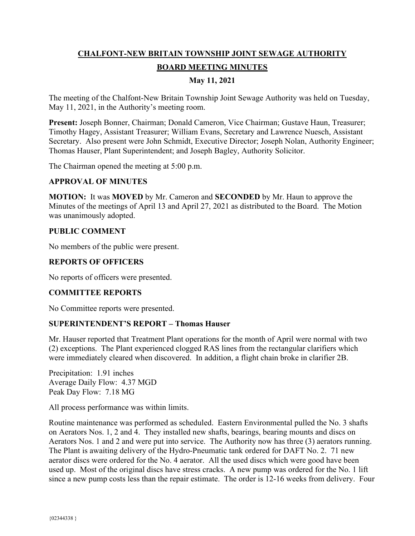# **CHALFONT-NEW BRITAIN TOWNSHIP JOINT SEWAGE AUTHORITY BOARD MEETING MINUTES**

# **May 11, 2021**

The meeting of the Chalfont-New Britain Township Joint Sewage Authority was held on Tuesday, May 11, 2021, in the Authority's meeting room.

**Present:** Joseph Bonner, Chairman; Donald Cameron, Vice Chairman; Gustave Haun, Treasurer; Timothy Hagey, Assistant Treasurer; William Evans, Secretary and Lawrence Nuesch, Assistant Secretary. Also present were John Schmidt, Executive Director; Joseph Nolan, Authority Engineer; Thomas Hauser, Plant Superintendent; and Joseph Bagley, Authority Solicitor.

The Chairman opened the meeting at 5:00 p.m.

### **APPROVAL OF MINUTES**

**MOTION:** It was **MOVED** by Mr. Cameron and **SECONDED** by Mr. Haun to approve the Minutes of the meetings of April 13 and April 27, 2021 as distributed to the Board. The Motion was unanimously adopted.

### **PUBLIC COMMENT**

No members of the public were present.

### **REPORTS OF OFFICERS**

No reports of officers were presented.

### **COMMITTEE REPORTS**

No Committee reports were presented.

### **SUPERINTENDENT'S REPORT – Thomas Hauser**

Mr. Hauser reported that Treatment Plant operations for the month of April were normal with two (2) exceptions. The Plant experienced clogged RAS lines from the rectangular clarifiers which were immediately cleared when discovered. In addition, a flight chain broke in clarifier 2B.

Precipitation: 1.91 inches Average Daily Flow: 4.37 MGD Peak Day Flow: 7.18 MG

All process performance was within limits.

Routine maintenance was performed as scheduled. Eastern Environmental pulled the No. 3 shafts on Aerators Nos. 1, 2 and 4. They installed new shafts, bearings, bearing mounts and discs on Aerators Nos. 1 and 2 and were put into service. The Authority now has three (3) aerators running. The Plant is awaiting delivery of the Hydro-Pneumatic tank ordered for DAFT No. 2. 71 new aerator discs were ordered for the No. 4 aerator. All the used discs which were good have been used up. Most of the original discs have stress cracks. A new pump was ordered for the No. 1 lift since a new pump costs less than the repair estimate. The order is 12-16 weeks from delivery. Four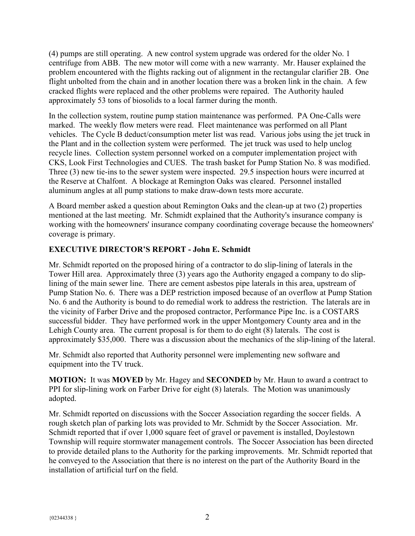(4) pumps are still operating. A new control system upgrade was ordered for the older No. 1 centrifuge from ABB. The new motor will come with a new warranty. Mr. Hauser explained the problem encountered with the flights racking out of alignment in the rectangular clarifier 2B. One flight unbolted from the chain and in another location there was a broken link in the chain. A few cracked flights were replaced and the other problems were repaired. The Authority hauled approximately 53 tons of biosolids to a local farmer during the month.

In the collection system, routine pump station maintenance was performed. PA One-Calls were marked. The weekly flow meters were read. Fleet maintenance was performed on all Plant vehicles. The Cycle B deduct/consumption meter list was read. Various jobs using the jet truck in the Plant and in the collection system were performed. The jet truck was used to help unclog recycle lines. Collection system personnel worked on a computer implementation project with CKS, Look First Technologies and CUES. The trash basket for Pump Station No. 8 was modified. Three (3) new tie-ins to the sewer system were inspected. 29.5 inspection hours were incurred at the Reserve at Chalfont. A blockage at Remington Oaks was cleared. Personnel installed aluminum angles at all pump stations to make draw-down tests more accurate.

A Board member asked a question about Remington Oaks and the clean-up at two (2) properties mentioned at the last meeting. Mr. Schmidt explained that the Authority's insurance company is working with the homeowners' insurance company coordinating coverage because the homeowners' coverage is primary.

# **EXECUTIVE DIRECTOR'S REPORT - John E. Schmidt**

Mr. Schmidt reported on the proposed hiring of a contractor to do slip-lining of laterals in the Tower Hill area. Approximately three (3) years ago the Authority engaged a company to do sliplining of the main sewer line. There are cement asbestos pipe laterals in this area, upstream of Pump Station No. 6. There was a DEP restriction imposed because of an overflow at Pump Station No. 6 and the Authority is bound to do remedial work to address the restriction. The laterals are in the vicinity of Farber Drive and the proposed contractor, Performance Pipe Inc. is a COSTARS successful bidder. They have performed work in the upper Montgomery County area and in the Lehigh County area. The current proposal is for them to do eight (8) laterals. The cost is approximately \$35,000. There was a discussion about the mechanics of the slip-lining of the lateral.

Mr. Schmidt also reported that Authority personnel were implementing new software and equipment into the TV truck.

**MOTION:** It was **MOVED** by Mr. Hagey and **SECONDED** by Mr. Haun to award a contract to PPI for slip-lining work on Farber Drive for eight (8) laterals. The Motion was unanimously adopted.

Mr. Schmidt reported on discussions with the Soccer Association regarding the soccer fields. A rough sketch plan of parking lots was provided to Mr. Schmidt by the Soccer Association. Mr. Schmidt reported that if over 1,000 square feet of gravel or pavement is installed, Doylestown Township will require stormwater management controls. The Soccer Association has been directed to provide detailed plans to the Authority for the parking improvements. Mr. Schmidt reported that he conveyed to the Association that there is no interest on the part of the Authority Board in the installation of artificial turf on the field.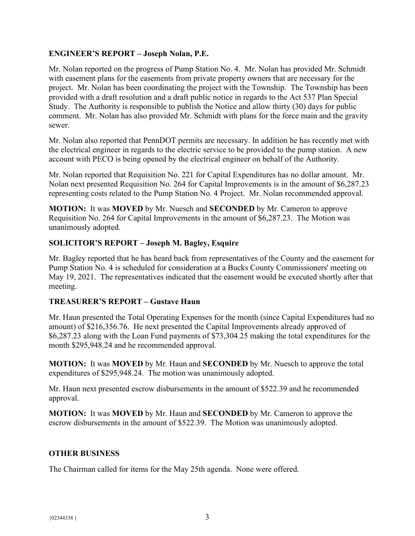# **ENGINEER'S REPORT – Joseph Nolan, P.E.**

Mr. Nolan reported on the progress of Pump Station No. 4. Mr. Nolan has provided Mr. Schmidt with easement plans for the easements from private property owners that are necessary for the project. Mr. Nolan has been coordinating the project with the Township. The Township has been provided with a draft resolution and a draft public notice in regards to the Act 537 Plan Special Study. The Authority is responsible to publish the Notice and allow thirty (30) days for public comment. Mr. Nolan has also provided Mr. Schmidt with plans for the force main and the gravity sewer.

Mr. Nolan also reported that PennDOT permits are necessary. In addition he has recently met with the electrical engineer in regards to the electric service to be provided to the pump station. A new account with PECO is being opened by the electrical engineer on behalf of the Authority.

Mr. Nolan reported that Requisition No. 221 for Capital Expenditures has no dollar amount. Mr. Nolan next presented Requisition No. 264 for Capital Improvements is in the amount of \$6,287.23 representing costs related to the Pump Station No. 4 Project. Mr. Nolan recommended approval.

**MOTION:** It was **MOVED** by Mr. Nuesch and **SECONDED** by Mr. Cameron to approve Requisition No. 264 for Capital Improvements in the amount of \$6,287.23. The Motion was unanimously adopted.

### **SOLICITOR'S REPORT – Joseph M. Bagley, Esquire**

Mr. Bagley reported that he has heard back from representatives of the County and the easement for Pump Station No. 4 is scheduled for consideration at a Bucks County Commissioners' meeting on May 19, 2021. The representatives indicated that the easement would be executed shortly after that meeting.

# **TREASURER'S REPORT – Gustave Haun**

Mr. Haun presented the Total Operating Expenses for the month (since Capital Expenditures had no amount) of \$216,356.76. He next presented the Capital Improvements already approved of \$6,287.23 along with the Loan Fund payments of \$73,304.25 making the total expenditures for the month \$295,948.24 and he recommended approval.

**MOTION:** It was **MOVED** by Mr. Haun and **SECONDED** by Mr. Nuesch to approve the total expenditures of \$295,948.24. The motion was unanimously adopted.

Mr. Haun next presented escrow disbursements in the amount of \$522.39 and he recommended approval.

**MOTION:** It was **MOVED** by Mr. Haun and **SECONDED** by Mr. Cameron to approve the escrow disbursements in the amount of \$522.39. The Motion was unanimously adopted.

### **OTHER BUSINESS**

The Chairman called for items for the May 25th agenda. None were offered.